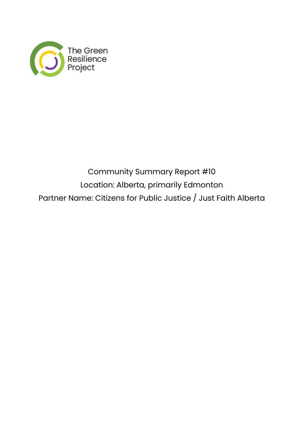

## Community Summary Report #10 Location: Alberta, primarily Edmonton Partner Name: Citizens for Public Justice / Just Faith Alberta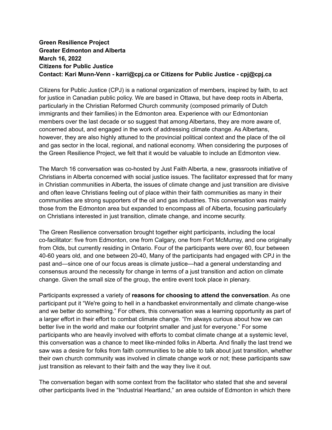## **Green Resilience Project Greater Edmonton and Alberta March 16, 2022 Citizens for Public Justice Contact: Kari Munn-Venn - karri@cpj.ca or Citizens for Public Justice - cpj@cpj.ca**

Citizens for Public Justice (CPJ) is a national organization of members, inspired by faith, to act for justice in Canadian public policy. We are based in Ottawa, but have deep roots in Alberta, particularly in the Christian Reformed Church community (composed primarily of Dutch immigrants and their families) in the Edmonton area. Experience with our Edmontonian members over the last decade or so suggest that among Albertans, they are more aware of, concerned about, and engaged in the work of addressing climate change. As Albertans, however, they are also highly attuned to the provincial political context and the place of the oil and gas sector in the local, regional, and national economy. When considering the purposes of the Green Resilience Project, we felt that it would be valuable to include an Edmonton view.

The March 16 conversation was co-hosted by Just Faith Alberta, a new, grassroots initiative of Christians in Alberta concerned with social justice issues. The facilitator expressed that for many in Christian communities in Alberta, the issues of climate change and just transition are divisive and often leave Christians feeling out of place within their faith communities as many in their communities are strong supporters of the oil and gas industries. This conversation was mainly those from the Edmonton area but expanded to encompass all of Alberta, focusing particularly on Christians interested in just transition, climate change, and income security.

The Green Resilience conversation brought together eight participants, including the local co-facilitator: five from Edmonton, one from Calgary, one from Fort McMurray, and one originally from Olds, but currently residing in Ontario. Four of the participants were over 60, four between 40-60 years old, and one between 20-40, Many of the participants had engaged with CPJ in the past and—since one of our focus areas is climate justice—had a general understanding and consensus around the necessity for change in terms of a just transition and action on climate change. Given the small size of the group, the entire event took place in plenary.

Participants expressed a variety of **reasons for choosing to attend the conversation**. As one participant put it "We're going to hell in a handbasket environmentally and climate change-wise and we better do something." For others, this conversation was a learning opportunity as part of a larger effort in their effort to combat climate change. "I'm always curious about how we can better live in the world and make our footprint smaller and just for everyone." For some participants who are heavily involved with efforts to combat climate change at a systemic level, this conversation was a chance to meet like-minded folks in Alberta. And finally the last trend we saw was a desire for folks from faith communities to be able to talk about just transition, whether their own church community was involved in climate change work or not; these participants saw just transition as relevant to their faith and the way they live it out.

The conversation began with some context from the facilitator who stated that she and several other participants lived in the "Industrial Heartland," an area outside of Edmonton in which there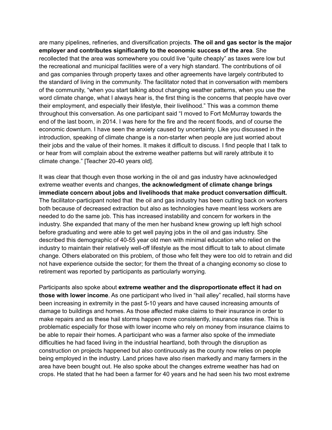are many pipelines, refineries, and diversification projects. **The oil and gas sector is the major employer and contributes significantly to the economic success of the area**. She recollected that the area was somewhere you could live "quite cheaply" as taxes were low but the recreational and municipal facilities were of a very high standard. The contributions of oil and gas companies through property taxes and other agreements have largely contributed to the standard of living in the community. The facilitator noted that in conversation with members of the community, "when you start talking about changing weather patterns, when you use the word climate change, what I always hear is, the first thing is the concerns that people have over their employment, and especially their lifestyle, their livelihood." This was a common theme throughout this conversation. As one participant said "I moved to Fort McMurray towards the end of the last boom, in 2014. I was here for the fire and the recent floods, and of course the economic downturn. I have seen the anxiety caused by uncertainty. Like you discussed in the introduction, speaking of climate change is a non-starter when people are just worried about their jobs and the value of their homes. It makes it difficult to discuss. I find people that I talk to or hear from will complain about the extreme weather patterns but will rarely attribute it to climate change." [Teacher 20-40 years old].

It was clear that though even those working in the oil and gas industry have acknowledged extreme weather events and changes, **the acknowledgment of climate change brings immediate concern about jobs and livelihoods that make product conversation difficult.** The facilitator-participant noted that the oil and gas industry has been cutting back on workers both because of decreased extraction but also as technologies have meant less workers are needed to do the same job. This has increased instability and concern for workers in the industry. She expanded that many of the men her husband knew growing up left high school before graduating and were able to get well paying jobs in the oil and gas industry. She described this demographic of 40-55 year old men with minimal education who relied on the industry to maintain their relatively well-off lifestyle as the most difficult to talk to about climate change. Others elaborated on this problem, of those who felt they were too old to retrain and did not have experience outside the sector; for them the threat of a changing economy so close to retirement was reported by participants as particularly worrying.

Participants also spoke about **extreme weather and the disproportionate effect it had on those with lower income**. As one participant who lived in "hail alley" recalled, hail storms have been increasing in extremity in the past 5-10 years and have caused increasing amounts of damage to buildings and homes. As those affected make claims to their insurance in order to make repairs and as these hail storms happen more consistently, insurance rates rise. This is problematic especially for those with lower income who rely on money from insurance claims to be able to repair their homes. A participant who was a farmer also spoke of the immediate difficulties he had faced living in the industrial heartland, both through the disruption as construction on projects happened but also continuously as the county now relies on people being employed in the industry. Land prices have also risen markedly and many farmers in the area have been bought out. He also spoke about the changes extreme weather has had on crops. He stated that he had been a farmer for 40 years and he had seen his two most extreme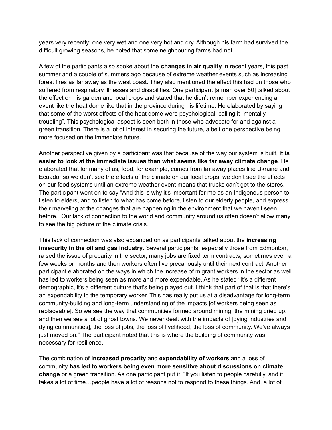years very recently: one very wet and one very hot and dry. Although his farm had survived the difficult growing seasons, he noted that some neighbouring farms had not.

A few of the participants also spoke about the **changes in air quality** in recent years, this past summer and a couple of summers ago because of extreme weather events such as increasing forest fires as far away as the west coast. They also mentioned the effect this had on those who suffered from respiratory illnesses and disabilities. One participant [a man over 60] talked about the effect on his garden and local crops and stated that he didn't remember experiencing an event like the heat dome like that in the province during his lifetime. He elaborated by saying that some of the worst effects of the heat dome were psychological, calling it "mentally troubling". This psychological aspect is seen both in those who advocate for and against a green transition. There is a lot of interest in securing the future, albeit one perspective being more focused on the immediate future.

Another perspective given by a participant was that because of the way our system is built, **it is easier to look at the immediate issues than what seems like far away climate change**. He elaborated that for many of us, food, for example, comes from far away places like Ukraine and Ecuador so we don't see the effects of the climate on our local crops, we don't see the effects on our food systems until an extreme weather event means that trucks can't get to the stores. The participant went on to say "And this is why it's important for me as an Indigenous person to listen to elders, and to listen to what has come before, listen to our elderly people, and express their marveling at the changes that are happening in the environment that we haven't seen before." Our lack of connection to the world and community around us often doesn't allow many to see the big picture of the climate crisis.

This lack of connection was also expanded on as participants talked about the **increasing insecurity in the oil and gas industry**. Several participants, especially those from Edmonton, raised the issue of precarity in the sector, many jobs are fixed term contracts, sometimes even a few weeks or months and then workers often live precariously until their next contract. Another participant elaborated on the ways in which the increase of migrant workers in the sector as well has led to workers being seen as more and more expendable. As he stated "It's a different demographic, it's a different culture that's being played out. I think that part of that is that there's an expendability to the temporary worker. This has really put us at a disadvantage for long-term community-building and long-term understanding of the impacts [of workers being seen as replaceable]. So we see the way that communities formed around mining, the mining dried up, and then we see a lot of ghost towns. We never dealt with the impacts of [dying industries and dying communities], the loss of jobs, the loss of livelihood, the loss of community. We've always just moved on." The participant noted that this is where the building of community was necessary for resilience.

The combination of **increased precarity** and **expendability of workers** and a loss of community **has led to workers being even more sensitive about discussions on climate change** or a green transition. As one participant put it, "If you listen to people carefully, and it takes a lot of time…people have a lot of reasons not to respond to these things. And, a lot of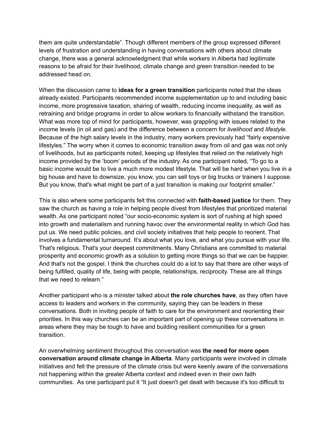them are quite understandable". Though different members of the group expressed different levels of frustration and understanding in having conversations with others about climate change, there was a general acknowledgment that while workers in Alberta had legitimate reasons to be afraid for their livelihood, climate change and green transition needed to be addressed head on.

When the discussion came to **ideas for a green transition** participants noted that the ideas already existed. Participants recommended income supplementation up to and including basic income, more progressive taxation, sharing of wealth, reducing income inequality, as well as retraining and bridge programs in order to allow workers to financially withstand the transition. What was more top of mind for participants, however, was grappling with issues related to the income levels (in oil and gas) and the difference between a concern for *livelihood* and *lifestyle*. Because of the high salary levels in the industry, many workers previously had "fairly expensive lifestyles." The worry when it comes to economic transition away from oil and gas was not only of livelihoods, but as participants noted, keeping up lifestyles that relied on the relatively high income provided by the 'boom' periods of the industry. As one participant noted, "To go to a basic income would be to live a much more modest lifestyle. That will be hard when you live in a big house and have to downsize, you know, you can sell toys or big trucks or trainers I suppose. But you know, that's what might be part of a just transition is making our footprint smaller."

This is also where some participants felt this connected with **faith-based justice** for them. They saw the church as having a role in helping people divest from lifestyles that prioritized material wealth. As one participant noted "our socio-economic system is sort of rushing at high speed into growth and materialism and running havoc over the environmental reality in which God has put us. We need public policies, and civil society initiatives that help people to reorient. That involves a fundamental turnaround. It's about what you love, and what you pursue with your life. That's religious. That's your deepest commitments. Many Christians are committed to material prosperity and economic growth as a solution to getting more things so that we can be happier. And that's not the gospel. I think the churches could do a lot to say that there are other ways of being fulfilled, quality of life, being with people, relationships, reciprocity. These are all things that we need to relearn."

Another participant who is a minister talked about **the role churches have**, as they often have access to leaders and workers in the community, saying they can be leaders in these conversations. Both in inviting people of faith to care for the environment and reorienting their priorities. In this way churches can be an important part of opening up these conversations in areas where they may be tough to have and building resilient communities for a green transition.

An overwhelming sentiment throughout this conversation was **the need for more open conversation around climate change in Alberta**. Many participants were involved in climate initiatives and felt the pressure of the climate crisis but were keenly aware of the conversations not happening within the greater Alberta context and indeed even in their own faith communities. As one participant put it "It just doesn't get dealt with because it's too difficult to